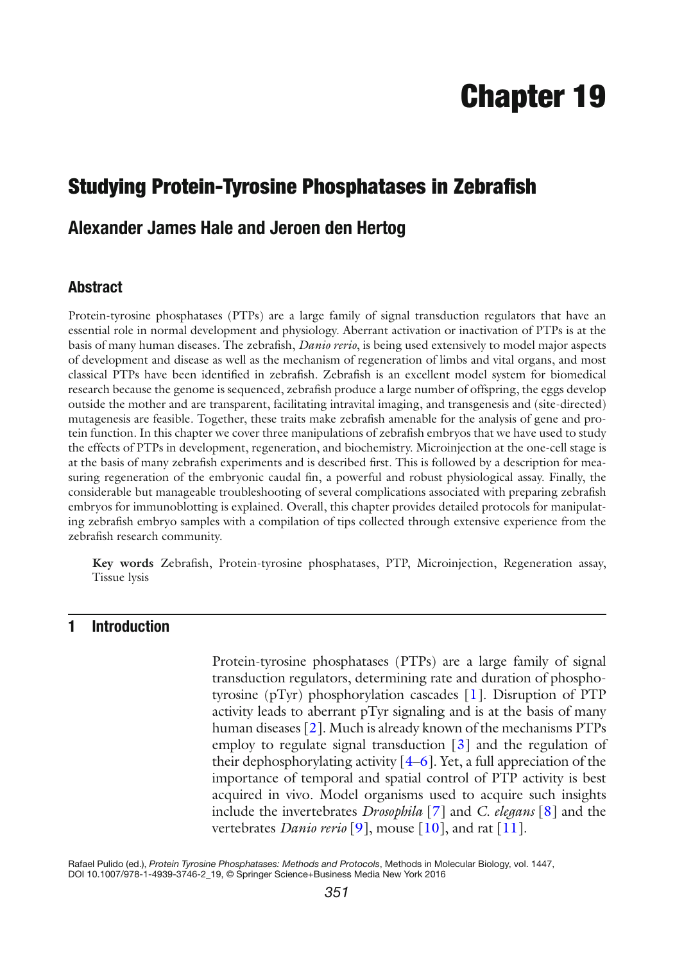# **Chapter 19**

# **Studying Protein-Tyrosine Phosphatases in Zebrafish**

# **Alexander James Hale and Jeroen den Hertog**

#### **Abstract**

Protein-tyrosine phosphatases (PTPs) are a large family of signal transduction regulators that have an essential role in normal development and physiology. Aberrant activation or inactivation of PTPs is at the basis of many human diseases. The zebrafish, *Danio rerio*, is being used extensively to model major aspects of development and disease as well as the mechanism of regeneration of limbs and vital organs, and most classical PTPs have been identified in zebrafish. Zebrafish is an excellent model system for biomedical research because the genome is sequenced, zebrafish produce a large number of offspring, the eggs develop outside the mother and are transparent, facilitating intravital imaging, and transgenesis and (site-directed) mutagenesis are feasible. Together, these traits make zebrafish amenable for the analysis of gene and protein function. In this chapter we cover three manipulations of zebrafish embryos that we have used to study the effects of PTPs in development, regeneration, and biochemistry. Microinjection at the one-cell stage is at the basis of many zebrafish experiments and is described first. This is followed by a description for measuring regeneration of the embryonic caudal fin, a powerful and robust physiological assay. Finally, the considerable but manageable troubleshooting of several complications associated with preparing zebrafish embryos for immunoblotting is explained. Overall, this chapter provides detailed protocols for manipulating zebrafish embryo samples with a compilation of tips collected through extensive experience from the zebrafish research community.

Key words Zebrafish, Protein-tyrosine phosphatases, PTP, Microinjection, Regeneration assay, Tissue lysis

#### **1 Introduction**

Protein-tyrosine phosphatases (PTPs) are a large family of signal transduction regulators, determining rate and duration of phosphotyrosine (pTyr) phosphorylation cascades  $[1]$ . Disruption of PTP activity leads to aberrant pTyr signaling and is at the basis of many human diseases [2]. Much is already known of the mechanisms PTPs employ to regulate signal transduction  $\lceil 3 \rceil$  and the regulation of their dephosphorylating activity  $[4-6]$ . Yet, a full appreciation of the importance of temporal and spatial control of PTP activity is best acquired in vivo. Model organisms used to acquire such insights include the invertebrates *Drosophila* [\[ 7](#page-19-0)] and *C. elegans* [ [8\]](#page-19-0) and the vertebrates *Danio rerio* [9], mouse  $[10]$ , and rat  $[11]$ .

Rafael Pulido (ed.), *Protein Tyrosine Phosphatases: Methods and Protocols*, Methods in Molecular Biology, vol. 1447, DOI 10.1007/978-1-4939-3746-2\_19, © Springer Science+Business Media New York 2016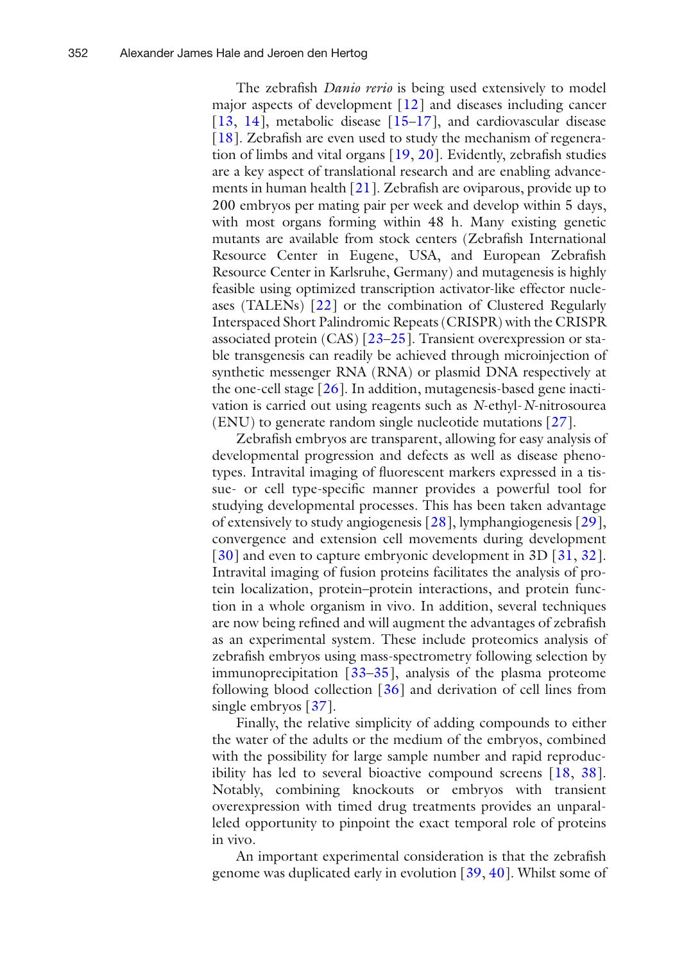The zebrafish *Danio rerio* is being used extensively to model major aspects of development [ [12](#page-19-0)] and diseases including cancer [ $13, 14$  $13, 14$ ], metabolic disease [ $15-17$ ], and cardiovascular disease [ $18$ ]. Zebrafish are even used to study the mechanism of regeneration of limbs and vital organs  $[19, 20]$  $[19, 20]$  $[19, 20]$ . Evidently, zebrafish studies are a key aspect of translational research and are enabling advancements in human health  $[21]$ . Zebrafish are oviparous, provide up to 200 embryos per mating pair per week and develop within 5 days, with most organs forming within 48 h. Many existing genetic mutants are available from stock centers (Zebrafish International Resource Center in Eugene, USA, and European Zebrafish Resource Center in Karlsruhe, Germany) and mutagenesis is highly feasible using optimized transcription activator-like effector nucleases (TALENs) [22] or the combination of Clustered Regularly Interspaced Short Palindromic Repeats (CRISPR) with the CRISPR associated protein (CAS) [23-25]. Transient overexpression or stable transgenesis can readily be achieved through microinjection of synthetic messenger RNA (RNA) or plasmid DNA respectively at the one-cell stage [ [26](#page-19-0)]. In addition, mutagenesis - based gene inactivation is carried out using reagents such as *N*-ethyl- *N*-nitrosourea (ENU) to generate random single nucleotide mutations [ [27](#page-19-0)].

Zebrafish embryos are transparent, allowing for easy analysis of developmental progression and defects as well as disease phenotypes. Intravital imaging of fluorescent markers expressed in a tissue- or cell type-specific manner provides a powerful tool for studying developmental processes. This has been taken advantage of extensively to study angiogenesis[\[ 28](#page-19-0)], lymphangiogenesis [ [29](#page-20-0)], convergence and extension cell movements during development [30] and even to capture embryonic development in 3D [31, [32](#page-20-0)]. Intravital imaging of fusion proteins facilitates the analysis of protein localization, protein-protein interactions, and protein function in a whole organism in vivo. In addition, several techniques are now being refined and will augment the advantages of zebrafish as an experimental system. These include proteomics analysis of zebrafish embryos using mass-spectrometry following selection by immunoprecipitation  $[33-35]$ , analysis of the plasma proteome following blood collection [ [36\]](#page-20-0) and derivation of cell lines from single embryos [37].

Finally, the relative simplicity of adding compounds to either the water of the adults or the medium of the embryos, combined with the possibility for large sample number and rapid reproducibility has led to several bioactive compound screens [ [18,](#page-19-0) [38](#page-20-0)]. Notably, combining knockouts or embryos with transient overexpression with timed drug treatments provides an unparalleled opportunity to pinpoint the exact temporal role of proteins in vivo.

An important experimental consideration is that the zebrafish genome was duplicated early in evolution [ [39](#page-20-0), [40\]](#page-20-0). Whilst some of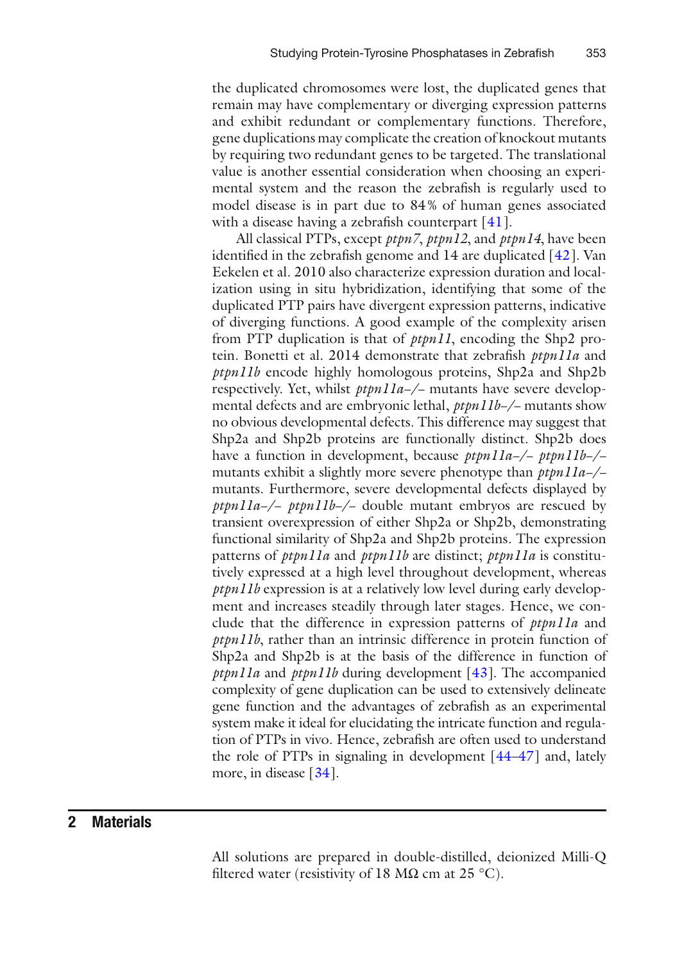the duplicated chromosomes were lost, the duplicated genes that remain may have complementary or diverging expression patterns and exhibit redundant or complementary functions. Therefore, gene duplications may complicate the creation of knockout mutants by requiring two redundant genes to be targeted. The translational value is another essential consideration when choosing an experimental system and the reason the zebrafish is regularly used to model disease is in part due to 84% of human genes associated with a disease having a zebrafish counterpart  $[41]$ .

All classical PTPs, except *ptpn7*, *ptpn12*, and *ptpn14*, have been identified in the zebrafish genome and  $14$  are duplicated  $[42]$ . Van Eekelen et al. 2010 also characterize expression duration and localization using in situ hybridization, identifying that some of the duplicated PTP pairs have divergent expression patterns, indicative of diverging functions. A good example of the complexity arisen from PTP duplication is that of *ptpn11*, encoding the Shp2 protein. Bonetti et al. 2014 demonstrate that zebrafish *ptpn11a* and *ptpn11b* encode highly homologous proteins, Shp2a and Shp2b respectively. Yet, whilst *ptpn11a−/−* mutants have severe developmental defects and are embryonic lethal, *ptpn11b−/−* mutants show no obvious developmental defects. This difference may suggest that Shp2a and Shp2b proteins are functionally distinct. Shp2b does have a function in development, because *ptpn11a−/− ptpn11b−/−* mutants exhibit a slightly more severe phenotype than *ptpn11a−/−* mutants. Furthermore, severe developmental defects displayed by *ptpn11a−/− ptpn11b−/−* double mutant embryos are rescued by transient overexpression of either Shp2a or Shp2b, demonstrating functional similarity of Shp2a and Shp2b proteins. The expression patterns of *ptpn11a* and *ptpn11b* are distinct; *ptpn11a* is constitutively expressed at a high level throughout development, whereas *ptpn11b* expression is at a relatively low level during early development and increases steadily through later stages. Hence, we conclude that the difference in expression patterns of *ptpn11a* and *ptpn11b*, rather than an intrinsic difference in protein function of Shp2a and Shp2b is at the basis of the difference in function of *ptpn11a* and *ptpn11b* during development [\[ 43\]](#page-21-0). The accompanied complexity of gene duplication can be used to extensively delineate gene function and the advantages of zebrafish as an experimental system make it ideal for elucidating the intricate function and regulation of PTPs in vivo. Hence, zebrafish are often used to understand the role of PTPs in signaling in development  $[44-47]$  and, lately more, in disease  $[34]$ .

## **2 Materials**

All solutions are prepared in double-distilled, deionized Milli-Q filtered water (resistivity of 18 M $\Omega$  cm at 25 °C).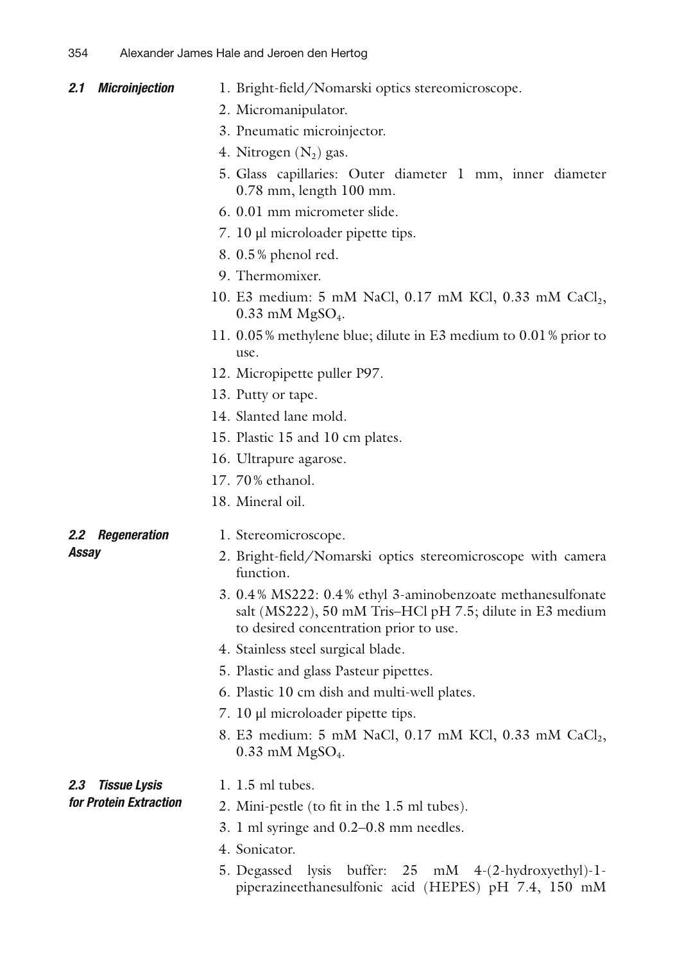- 1. Bright-field/Nomarski optics stereomicroscope. *2.1 Microinjection*
	- 2. Micromanipulator.
	- 3. Pneumatic microinjector.
	- 4. Nitrogen  $(N_2)$  gas.
	- 5. Glass capillaries: Outer diameter 1 mm, inner diameter 0.78 mm, length 100 mm.
	- 6. 0.01 mm micrometer slide.
	- 7. 10 μl microloader pipette tips.
	- 8. 0.5 % phenol red.
	- 9. Thermomixer.
	- 10. E3 medium: 5 mM NaCl, 0.17 mM KCl, 0.33 mM CaCl2,  $0.33$  mM MgSO<sub>4</sub>.
	- 11. 0.05 % methylene blue; dilute in E3 medium to 0.01 % prior to use.
	- 12. Micropipette puller P97.
	- 13. Putty or tape.
	- 14. Slanted lane mold.
	- 15. Plastic 15 and 10 cm plates.
	- 16. Ultrapure agarose.
	- 17. 70 % ethanol.
	- 18. Mineral oil.

| 2.2   | Regeneration |  |
|-------|--------------|--|
| Assav |              |  |

1. Stereomicroscope.

*Assay*

- 
- 2. Bright-field/Nomarski optics stereomicroscope with camera function.
- 3. 0.4 % MS222: 0.4 % ethyl 3-aminobenzoate methanesulfonate salt (MS222), 50 mM Tris–HCl pH 7.5; dilute in E3 medium to desired concentration prior to use.
- 4. Stainless steel surgical blade.
- 5. Plastic and glass Pasteur pipettes.
- 6. Plastic 10 cm dish and multi-well plates.
- 7. 10 μl microloader pipette tips.
- 8. E3 medium: 5 mM NaCl, 0.17 mM KCl, 0.33 mM CaCl<sub>2</sub>,  $0.33$  mM MgSO<sub>4</sub>.

# *2.3 Tissue Lysis*

1. 1.5 ml tubes.

#### *for Protein Extraction*

- 2. Mini-pestle (to fit in the 1.5 ml tubes).
- 3. 1 ml syringe and 0.2–0.8 mm needles.
- 4. Sonicator.
- 5. Degassed lysis buffer: 25 mM 4-(2-hydroxyethyl)-1 piperazineethanesulfonic acid (HEPES) pH 7.4, 150 mM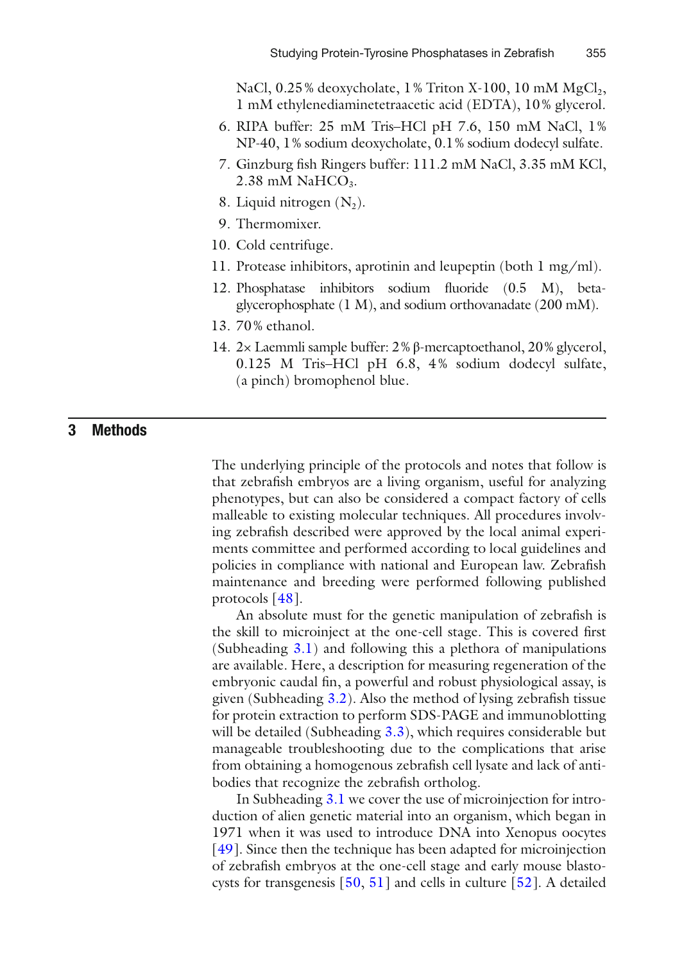NaCl,  $0.25\%$  deoxycholate, 1% Triton X-100, 10 mM  $MgCl<sub>2</sub>$ , 1 mM ethylenediaminetetraacetic acid (EDTA), 10 % glycerol.

- 6. RIPA buffer: 25 mM Tris–HCl pH 7.6, 150 mM NaCl, 1 % NP-40, 1 % sodium deoxycholate, 0.1 % sodium dodecyl sulfate.
- 7. Ginzburg fish Ringers buffer: 111.2 mM NaCl, 3.35 mM KCl,  $2.38$  mM NaHCO<sub>3</sub>.
- 8. Liquid nitrogen  $(N_2)$ .
- 9. Thermomixer.
- 10. Cold centrifuge.
- 11. Protease inhibitors, aprotinin and leupeptin (both 1 mg/ml).
- 12. Phosphatase inhibitors sodium fluoride (0.5 M), betaglycerophosphate (1 M), and sodium orthovanadate (200 mM).
- 13. 70 % ethanol.
- 14. 2× Laemmli sample buffer: 2 % β-mercaptoethanol, 20 % glycerol, 0.125 M Tris–HCl pH 6.8, 4 % sodium dodecyl sulfate, (a pinch) bromophenol blue.

### **3 Methods**

The underlying principle of the protocols and notes that follow is that zebrafish embryos are a living organism, useful for analyzing phenotypes, but can also be considered a compact factory of cells malleable to existing molecular techniques. All procedures involving zebrafish described were approved by the local animal experiments committee and performed according to local guidelines and policies in compliance with national and European law. Zebrafish maintenance and breeding were performed following published protocols  $[48]$ .

An absolute must for the genetic manipulation of zebrafish is the skill to microinject at the one-cell stage. This is covered first (Subheading [3.1](#page-7-0)) and following this a plethora of manipulations are available. Here, a description for measuring regeneration of the embryonic caudal fin, a powerful and robust physiological assay, is given (Subheading  $3.2$ ). Also the method of lysing zebrafish tissue for protein extraction to perform SDS-PAGE and immunoblotting will be detailed (Subheading [3.3\)](#page-12-0), which requires considerable but manageable troubleshooting due to the complications that arise from obtaining a homogenous zebrafish cell lysate and lack of antibodies that recognize the zebrafish ortholog.

In Subheading [3.1](#page-7-0) we cover the use of microinjection for introduction of alien genetic material into an organism, which began in 1971 when it was used to introduce DNA into Xenopus oocytes [49]. Since then the technique has been adapted for microinjection of zebrafish embryos at the one-cell stage and early mouse blastocysts for transgenesis  $[50, 51]$  $[50, 51]$  and cells in culture  $[52]$ . A detailed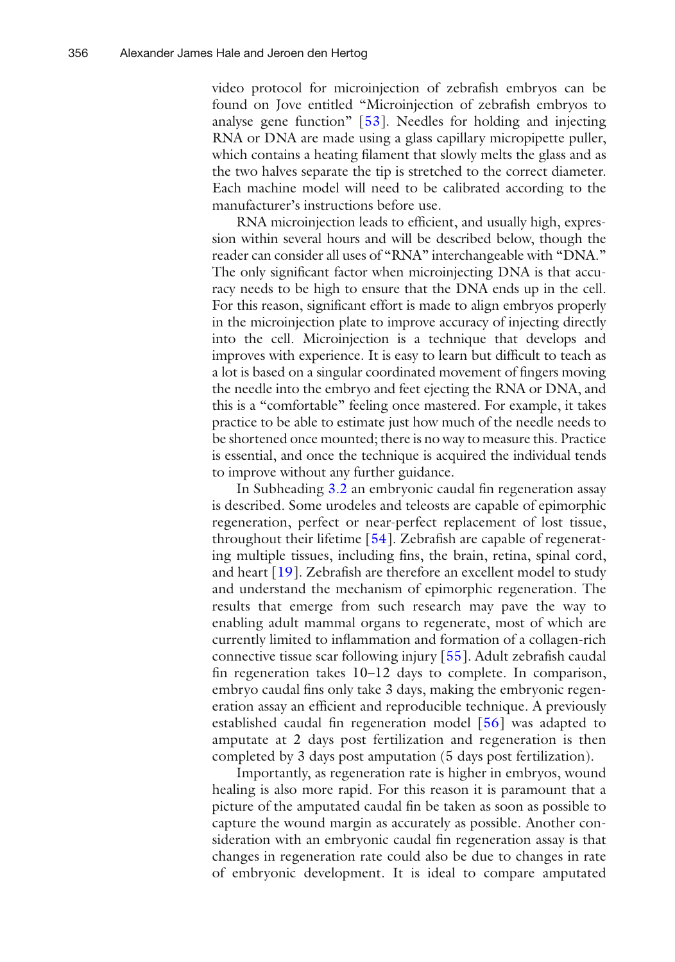video protocol for microinjection of zebrafish embryos can be found on Jove entitled "Microinjection of zebrafish embryos to analyse gene function" [ [53](#page-21-0)]. Needles for holding and injecting RNA or DNA are made using a glass capillary micropipette puller, which contains a heating filament that slowly melts the glass and as the two halves separate the tip is stretched to the correct diameter. Each machine model will need to be calibrated according to the manufacturer's instructions before use.

RNA microinjection leads to efficient, and usually high, expression within several hours and will be described below, though the reader can consider all uses of "RNA" interchangeable with "DNA." The only significant factor when microinjecting DNA is that accuracy needs to be high to ensure that the DNA ends up in the cell. For this reason, significant effort is made to align embryos properly in the microinjection plate to improve accuracy of injecting directly into the cell. Microinjection is a technique that develops and improves with experience. It is easy to learn but difficult to teach as a lot is based on a singular coordinated movement of fingers moving the needle into the embryo and feet ejecting the RNA or DNA, and this is a "comfortable" feeling once mastered. For example, it takes practice to be able to estimate just how much of the needle needs to be shortened once mounted; there is no way to measure this. Practice is essential, and once the technique is acquired the individual tends to improve without any further guidance.

In Subheading [3.2](#page-10-0) an embryonic caudal fin regeneration assay is described. Some urodeles and teleosts are capable of epimorphic regeneration, perfect or near-perfect replacement of lost tissue, throughout their lifetime  $[54]$ . Zebrafish are capable of regenerating multiple tissues, including fins, the brain, retina, spinal cord, and heart  $[19]$ . Zebrafish are therefore an excellent model to study and understand the mechanism of epimorphic regeneration. The results that emerge from such research may pave the way to enabling adult mammal organs to regenerate, most of which are currently limited to inflammation and formation of a collagen-rich connective tissue scar following injury  $[55]$ . Adult zebrafish caudal fin regeneration takes  $10-12$  days to complete. In comparison, embryo caudal fins only take 3 days, making the embryonic regeneration assay an efficient and reproducible technique. A previously established caudal fin regeneration model  $[56]$  was adapted to amputate at 2 days post fertilization and regeneration is then completed by 3 days post amputation (5 days post fertilization).

Importantly, as regeneration rate is higher in embryos, wound healing is also more rapid. For this reason it is paramount that a picture of the amputated caudal fin be taken as soon as possible to capture the wound margin as accurately as possible. Another consideration with an embryonic caudal fin regeneration assay is that changes in regeneration rate could also be due to changes in rate of embryonic development. It is ideal to compare amputated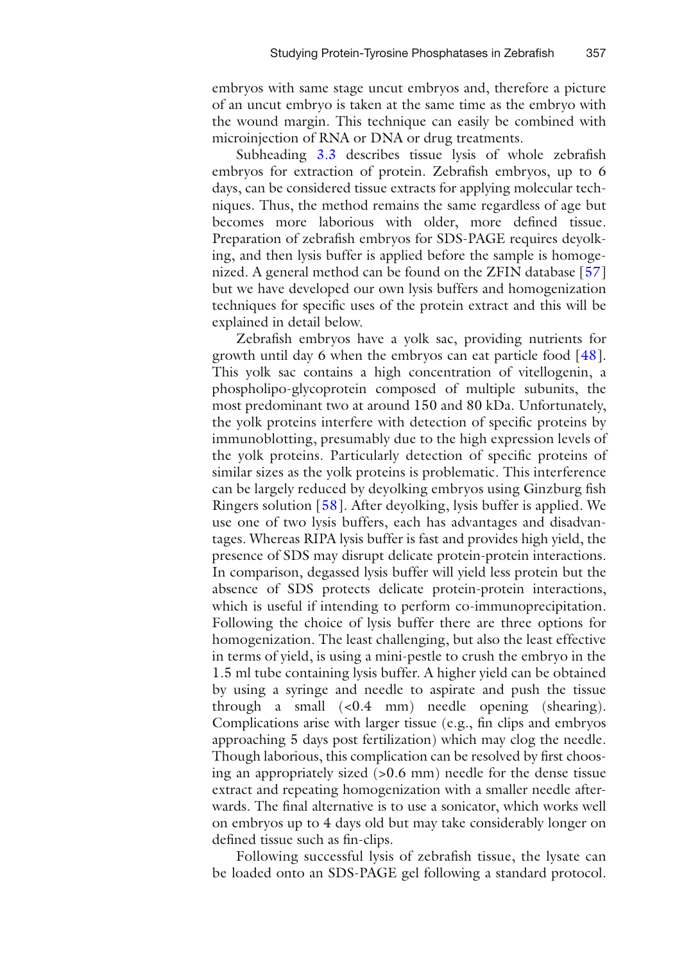embryos with same stage uncut embryos and, therefore a picture of an uncut embryo is taken at the same time as the embryo with the wound margin. This technique can easily be combined with microinjection of RNA or DNA or drug treatments.

Subheading  $3.3$  describes tissue lysis of whole zebrafish embryos for extraction of protein. Zebrafish embryos, up to 6 days, can be considered tissue extracts for applying molecular techniques. Thus, the method remains the same regardless of age but becomes more laborious with older, more defined tissue. Preparation of zebrafish embryos for SDS-PAGE requires deyolking, and then lysis buffer is applied before the sample is homogenized. A general method can be found on the ZFIN database [57] but we have developed our own lysis buffers and homogenization techniques for specific uses of the protein extract and this will be explained in detail below.

Zebrafish embryos have a yolk sac, providing nutrients for growth until day 6 when the embryos can eat particle food [ [48](#page-21-0)]. This yolk sac contains a high concentration of vitellogenin, a phospholipo- glycoprotein composed of multiple subunits, the most predominant two at around 150 and 80 kDa. Unfortunately, the yolk proteins interfere with detection of specific proteins by immunoblotting, presumably due to the high expression levels of the yolk proteins. Particularly detection of specific proteins of similar sizes as the yolk proteins is problematic. This interference can be largely reduced by deyolking embryos using Ginzburg fish Ringers solution [ [58\]](#page-21-0). After deyolking, lysis buffer is applied. We use one of two lysis buffers, each has advantages and disadvantages. Whereas RIPA lysis buffer is fast and provides high yield, the presence of SDS may disrupt delicate protein-protein interactions . In comparison, degassed lysis buffer will yield less protein but the absence of SDS protects delicate protein-protein interactions, which is useful if intending to perform co-immunoprecipitation. Following the choice of lysis buffer there are three options for homogenization. The least challenging, but also the least effective in terms of yield, is using a mini-pestle to crush the embryo in the 1.5 ml tube containing lysis buffer. A higher yield can be obtained by using a syringe and needle to aspirate and push the tissue through a small (<0.4 mm) needle opening (shearing). Complications arise with larger tissue (e.g., fin clips and embryos approaching 5 days post fertilization) which may clog the needle. Though laborious, this complication can be resolved by first choosing an appropriately sized (>0.6 mm) needle for the dense tissue extract and repeating homogenization with a smaller needle afterwards. The final alternative is to use a sonicator, which works well on embryos up to 4 days old but may take considerably longer on defined tissue such as fin-clips.

Following successful lysis of zebrafish tissue, the lysate can be loaded onto an SDS-PAGE gel following a standard protocol.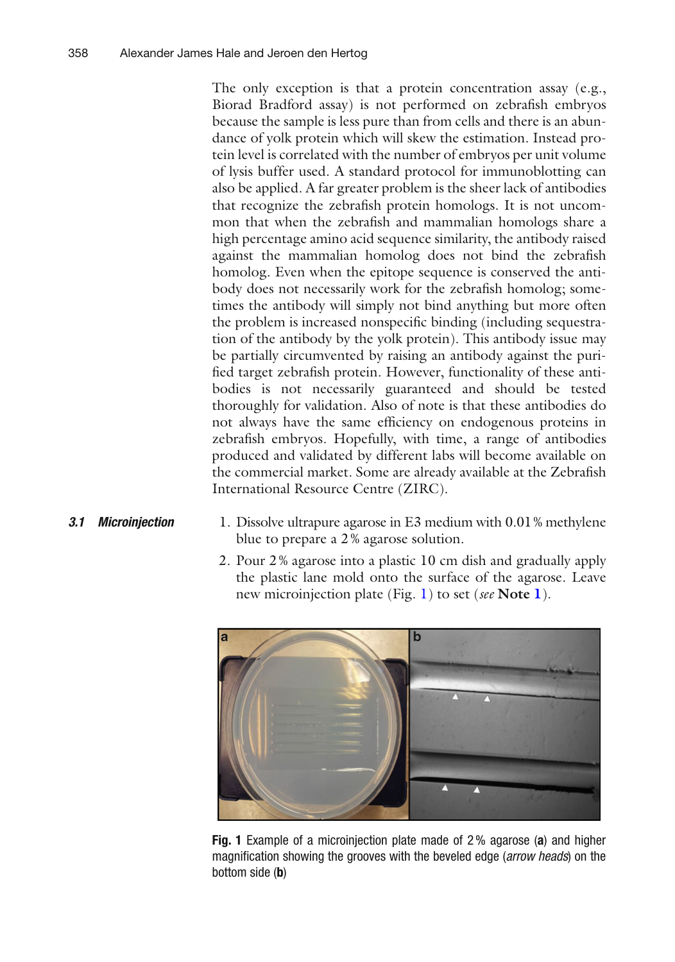<span id="page-7-0"></span>The only exception is that a protein concentration assay (e.g., Biorad Bradford assay) is not performed on zebrafish embryos because the sample is less pure than from cells and there is an abundance of yolk protein which will skew the estimation. Instead protein level is correlated with the number of embryos per unit volume of lysis buffer used. A standard protocol for immunoblotting can also be applied. A far greater problem is the sheer lack of antibodies that recognize the zebrafish protein homologs. It is not uncommon that when the zebrafish and mammalian homologs share a high percentage amino acid sequence similarity, the antibody raised against the mammalian homolog does not bind the zebrafish homolog. Even when the epitope sequence is conserved the antibody does not necessarily work for the zebrafish homolog; sometimes the antibody will simply not bind anything but more often the problem is increased nonspecific binding (including sequestration of the antibody by the yolk protein). This antibody issue may be partially circumvented by raising an antibody against the purified target zebrafish protein. However, functionality of these antibodies is not necessarily guaranteed and should be tested thoroughly for validation. Also of note is that these antibodies do not always have the same efficiency on endogenous proteins in zebrafish embryos. Hopefully, with time, a range of antibodies produced and validated by different labs will become available on the commercial market. Some are already available at the Zebrafish International Resource Centre (ZIRC).

- 1. Dissolve ultrapure agarose in E3 medium with 0.01 % methylene blue to prepare a 2 % agarose solution. *3.1 Microinjection*
	- 2. Pour 2 % agarose into a plastic 10 cm dish and gradually apply the plastic lane mold onto the surface of the agarose. Leave new microinjection plate (Fig. 1) to set ( *see* **Note [1](#page-15-0)**).



**Fig. 1** Example of a microinjection plate made of 2% agarose (a) and higher magnification showing the grooves with the beveled edge (*arrow heads*) on the bottom side (**b**)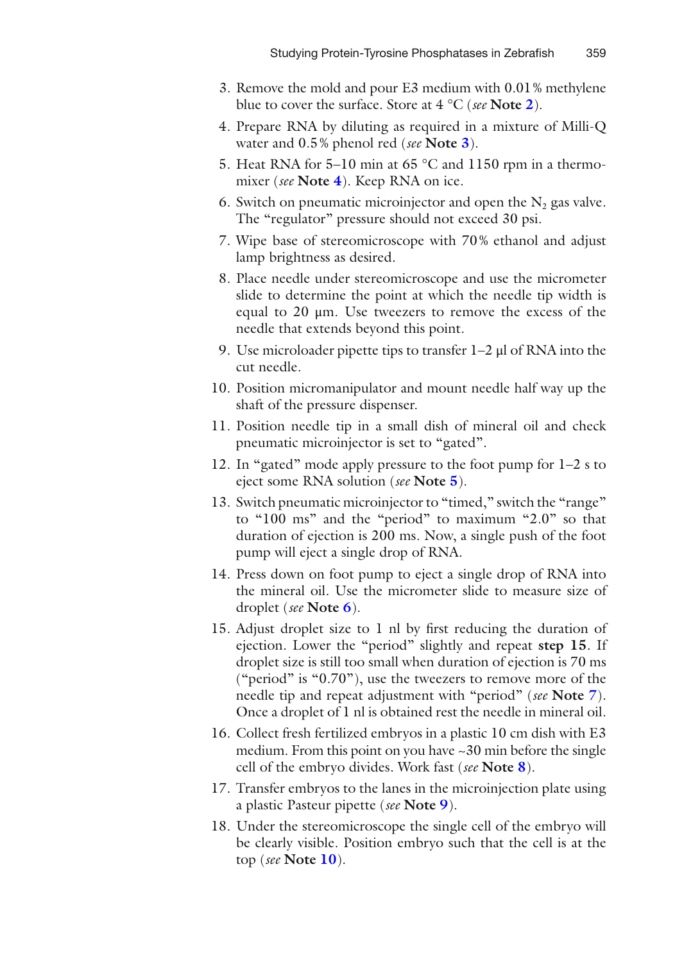- 3. Remove the mold and pour E3 medium with 0.01 % methylene blue to cover the surface. Store at 4 °C ( *see* **Note [2](#page-15-0)**).
- 4. Prepare RNA by diluting as required in a mixture of Milli-Q water and 0.5 % phenol red ( *see* **Note [3](#page-15-0)**).
- 5. Heat RNA for 5–10 min at 65 °C and 1150 rpm in a thermomixer ( *see* **Note [4](#page-15-0)**). Keep RNA on ice.
- 6. Switch on pneumatic microinjector and open the  $N_2$  gas valve. The "regulator" pressure should not exceed 30 psi.
- 7. Wipe base of stereomicroscope with 70 % ethanol and adjust lamp brightness as desired.
- 8. Place needle under stereomicroscope and use the micrometer slide to determine the point at which the needle tip width is equal to 20 μm. Use tweezers to remove the excess of the needle that extends beyond this point.
- 9. Use microloader pipette tips to transfer 1–2 μl of RNA into the cut needle.
- 10. Position micromanipulator and mount needle half way up the shaft of the pressure dispenser.
- 11. Position needle tip in a small dish of mineral oil and check pneumatic microinjector is set to "gated".
- 12. In "gated" mode apply pressure to the foot pump for 1–2 s to eject some RNA solution ( *see* **Note [5](#page-15-0)**).
- 13. Switch pneumatic microinjector to "timed," switch the "range" to "100 ms" and the "period" to maximum "2.0" so that duration of ejection is 200 ms. Now, a single push of the foot pump will eject a single drop of RNA.
- 14. Press down on foot pump to eject a single drop of RNA into the mineral oil. Use the micrometer slide to measure size of droplet ( *see* **Note [6](#page-15-0)**).
- 15. Adjust droplet size to  $1$  nl by first reducing the duration of ejection. Lower the "period" slightly and repeat **step 15**. If droplet size is still too small when duration of ejection is 70 ms ("period" is "0.70"), use the tweezers to remove more of the needle tip and repeat adjustment with "period" ( *see* **Note [7](#page-15-0)**). Once a droplet of 1 nl is obtained rest the needle in mineral oil.
- 16. Collect fresh fertilized embryos in a plastic 10 cm dish with E3 medium. From this point on you have ~30 min before the single cell of the embryo divides. Work fast ( *see* **Note [8](#page-15-0)**).
- 17. Transfer embryos to the lanes in the microinjection plate using a plastic Pasteur pipette ( *see* **Note [9](#page-15-0)**).
- 18. Under the stereomicroscope the single cell of the embryo will be clearly visible. Position embryo such that the cell is at the top ( *see* **Note [10](#page-15-0)**).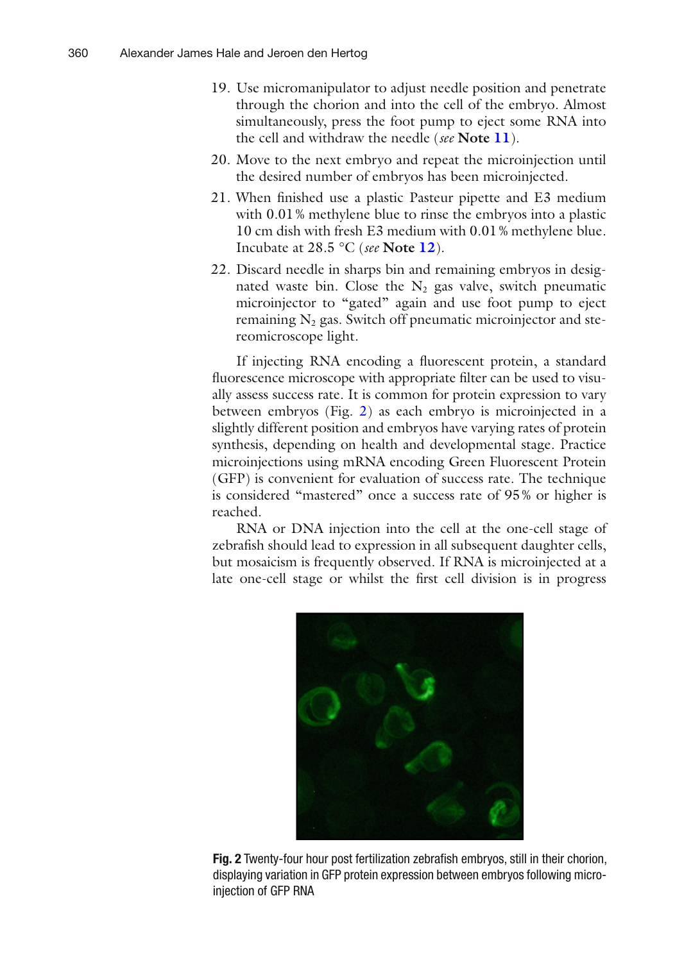- 19. Use micromanipulator to adjust needle position and penetrate through the chorion and into the cell of the embryo. Almost simultaneously, press the foot pump to eject some RNA into the cell and withdraw the needle ( *see* **Note [11](#page-15-0)**).
- 20. Move to the next embryo and repeat the microinjection until the desired number of embryos has been microinjected.
- 21. When finished use a plastic Pasteur pipette and E3 medium with 0.01 % methylene blue to rinse the embryos into a plastic 10 cm dish with fresh E3 medium with 0.01 % methylene blue. Incubate at 28.5 °C ( *see* **Note [12](#page-15-0)**).
- 22. Discard needle in sharps bin and remaining embryos in designated waste bin. Close the  $N_2$  gas valve, switch pneumatic microinjector to "gated" again and use foot pump to eject remaining  $N_2$  gas. Switch off pneumatic microinjector and stereomicroscope light.

If injecting RNA encoding a fluorescent protein, a standard fluorescence microscope with appropriate filter can be used to visually assess success rate. It is common for protein expression to vary between embryos (Fig. 2) as each embryo is microinjected in a slightly different position and embryos have varying rates of protein synthesis, depending on health and developmental stage. Practice microinjections using mRNA encoding Green Fluorescent Protein (GFP) is convenient for evaluation of success rate. The technique is considered "mastered" once a success rate of 95 % or higher is reached.

RNA or DNA injection into the cell at the one-cell stage of zebrafish should lead to expression in all subsequent daughter cells, but mosaicism is frequently observed. If RNA is microinjected at a late one-cell stage or whilst the first cell division is in progress



Fig. 2 Twenty-four hour post fertilization zebrafish embryos, still in their chorion, displaying variation in GFP protein expression between embryos following microinjection of GFP RNA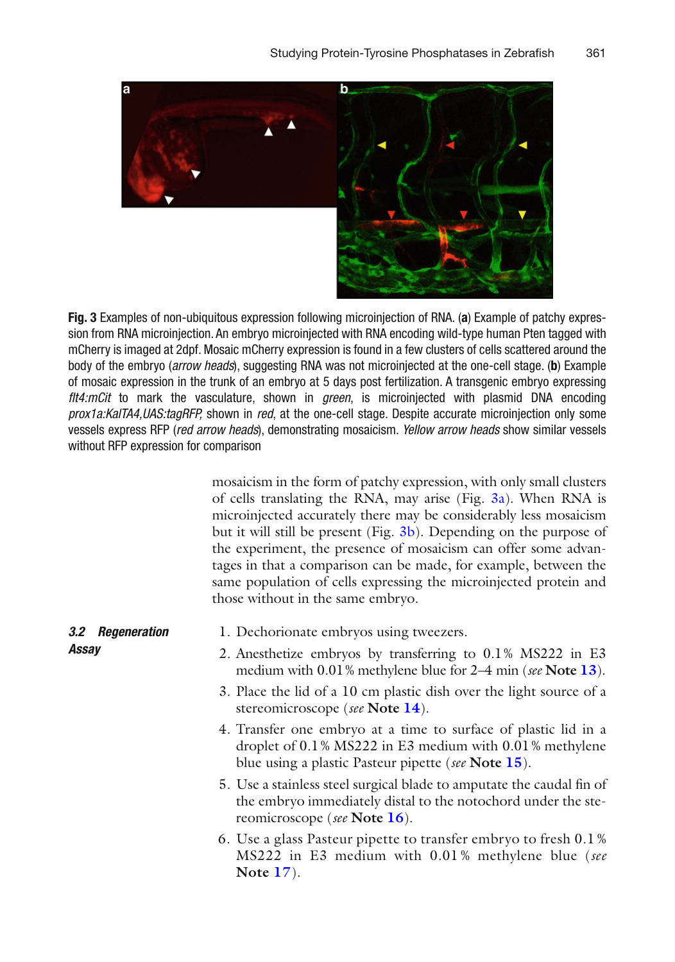<span id="page-10-0"></span>

**Fig. 3** Examples of non-ubiquitous expression following microinjection of RNA. (a) Example of patchy expression from RNA microinjection . An embryo microinjected with RNA encoding wild-type human Pten tagged with mCherry is imaged at 2dpf. Mosaic mCherry expression is found in a few clusters of cells scattered around the body of the embryo ( *arrow heads* ), suggesting RNA was not microinjected at the one-cell stage. ( **b** ) Example of mosaic expression in the trunk of an embryo at 5 days post fertilization. A transgenic embryo expressing *fl t4:mCit* to mark the vasculature, shown in *green* , is microinjected with plasmid DNA encoding *prox1a:KalTA4,UAS:tagRFP,* shown in *red* , at the one-cell stage. Despite accurate microinjection only some vessels express RFP ( *red arrow heads* ), demonstrating mosaicism. *Yellow arrow heads* show similar vessels without RFP expression for comparison

> mosaicism in the form of patchy expression, with only small clusters of cells translating the RNA, may arise (Fig. 3a). When RNA is microinjected accurately there may be considerably less mosaicism but it will still be present (Fig. 3b). Depending on the purpose of the experiment, the presence of mosaicism can offer some advantages in that a comparison can be made, for example, between the same population of cells expressing the microinjected protein and those without in the same embryo.

|              | 3.2 Regeneration | 1. Dechorionate embryos using tweezers.                                                                                                                                             |
|--------------|------------------|-------------------------------------------------------------------------------------------------------------------------------------------------------------------------------------|
| <b>Assay</b> |                  | 2. Anesthetize embryos by transferring to 0.1% MS222 in E3<br>medium with $0.01\%$ methylene blue for $2-4$ min (see Note 13).                                                      |
|              |                  | 3. Place the lid of a 10 cm plastic dish over the light source of a<br>stereomicroscope (see Note $14$ ).                                                                           |
|              |                  | 4. Transfer one embryo at a time to surface of plastic lid in a<br>droplet of 0.1 % MS222 in E3 medium with 0.01 % methylene<br>blue using a plastic Pasteur pipette (see Note 15). |
|              |                  | 5. Use a stainless steel surgical blade to amputate the caudal fin of<br>the embryo immediately distal to the notochord under the ste-<br>reomicroscope (see Note $16$ ).           |
|              |                  | 6. Use a glass Pasteur pipette to transfer embryo to fresh 0.1%<br>MS222 in E3 medium with 0.01% methylene blue (see                                                                |

**Note [17](#page-15-0)**).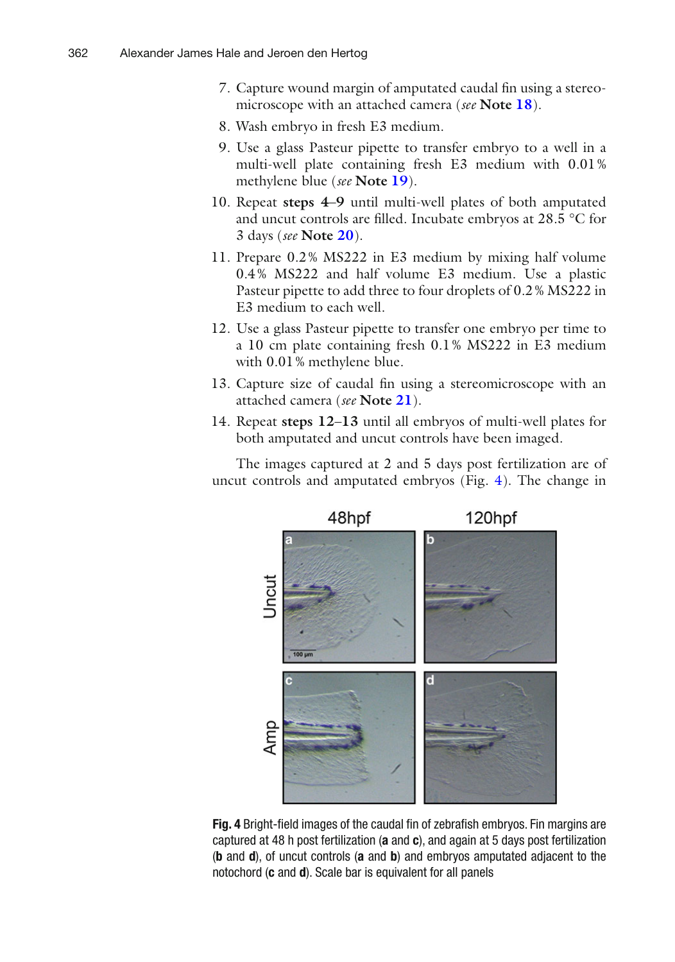- 7. Capture wound margin of amputated caudal fin using a stereomicroscope with an attached camera ( *see* **Note [18](#page-15-0)**).
- 8. Wash embryo in fresh E3 medium.
- 9. Use a glass Pasteur pipette to transfer embryo to a well in a multi-well plate containing fresh E3 medium with 0.01 % methylene blue ( *see* **Note [19](#page-15-0)**).
- 10. Repeat steps 4–9 until multi-well plates of both amputated and uncut controls are filled. Incubate embryos at  $28.5 \text{ °C}$  for 3 days ( *see* **Note [20](#page-15-0)**).
- 11. Prepare 0.2 % MS222 in E3 medium by mixing half volume 0.4 % MS222 and half volume E3 medium. Use a plastic Pasteur pipette to add three to four droplets of 0.2 % MS222 in E3 medium to each well.
- 12. Use a glass Pasteur pipette to transfer one embryo per time to a 10 cm plate containing fresh 0.1 % MS222 in E3 medium with 0.01 % methylene blue.
- 13. Capture size of caudal fin using a stereomicroscope with an attached camera ( *see* **Note [21](#page-15-0)**).
- 14. Repeat **steps 12–13** until all embryos of multi-well plates for both amputated and uncut controls have been imaged.

The images captured at 2 and 5 days post fertilization are of uncut controls and amputated embryos (Fig. 4). The change in



Fig. 4 Bright-field images of the caudal fin of zebrafish embryos. Fin margins are captured at 48 h post fertilization (a and c), and again at 5 days post fertilization ( **b** and **d** ), of uncut controls ( **a** and **b** ) and embryos amputated adjacent to the notochord (c and d). Scale bar is equivalent for all panels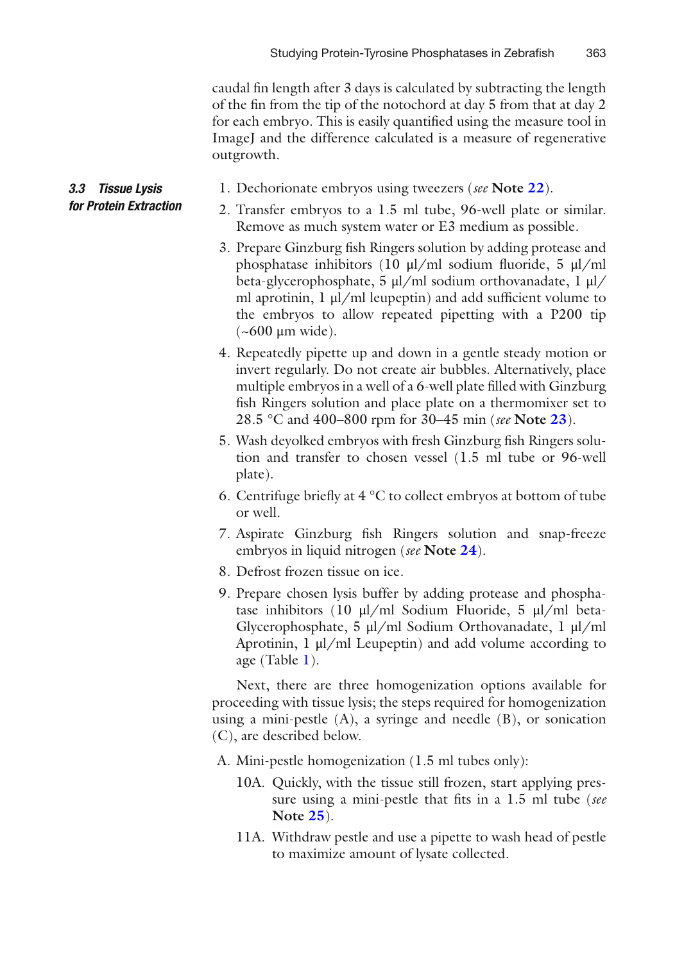caudal fin length after 3 days is calculated by subtracting the length of the fin from the tip of the notochord at day 5 from that at day 2 for each embryo. This is easily quantified using the measure tool in ImageJ and the difference calculated is a measure of regenerative outgrowth.

- 1. Dechorionate embryos using tweezers ( *see* **Note [22](#page-15-0)**).
	- 2. Transfer embryos to a 1.5 ml tube, 96-well plate or similar. Remove as much system water or E3 medium as possible.
	- 3. Prepare Ginzburg fish Ringers solution by adding protease and phosphatase inhibitors (10  $\mu$ l/ml sodium fluoride, 5  $\mu$ l/ml beta-glycerophosphate, 5 μl/ml sodium orthovanadate, 1 μl/ ml aprotinin,  $1 \mu$ /ml leupeptin) and add sufficient volume to the embryos to allow repeated pipetting with a P200 tip (~600 μm wide).
	- 4. Repeatedly pipette up and down in a gentle steady motion or invert regularly. Do not create air bubbles. Alternatively, place multiple embryos in a well of a 6-well plate filled with Ginzburg fish Ringers solution and place plate on a thermomixer set to 28.5 °C and 400–800 rpm for 30–45 min ( *see* **Note [23](#page-15-0)**).
	- 5. Wash deyolked embryos with fresh Ginzburg fish Ringers solution and transfer to chosen vessel (1.5 ml tube or 96-well plate).
	- 6. Centrifuge briefly at  $4^{\circ}$ C to collect embryos at bottom of tube or well.
	- 7. Aspirate Ginzburg fish Ringers solution and snap-freeze embryos in liquid nitrogen ( *see* **Note [24](#page-15-0)**).
	- 8. Defrost frozen tissue on ice.
	- 9. Prepare chosen lysis buffer by adding protease and phosphatase inhibitors (10 μl/ml Sodium Fluoride, 5 μl/ml beta-Glycerophosphate, 5 μl/ml Sodium Orthovanadate, 1 μl/ml Aprotinin, 1 μl/ml Leupeptin) and add volume according to age (Table [1](#page-13-0)).

Next, there are three homogenization options available for proceeding with tissue lysis; the steps required for homogenization using a mini-pestle  $(A)$ , a syringe and needle  $(B)$ , or sonication (C), are described below.

- A. Mini-pestle homogenization (1.5 ml tubes only):
	- 10A. Quickly, with the tissue still frozen, start applying pressure using a mini-pestle that fits in a 1.5 ml tube (see **Note [25](#page-15-0)**).
	- 11A. Withdraw pestle and use a pipette to wash head of pestle to maximize amount of lysate collected.

#### <span id="page-12-0"></span>*3.3 Tissue Lysis for Protein Extraction*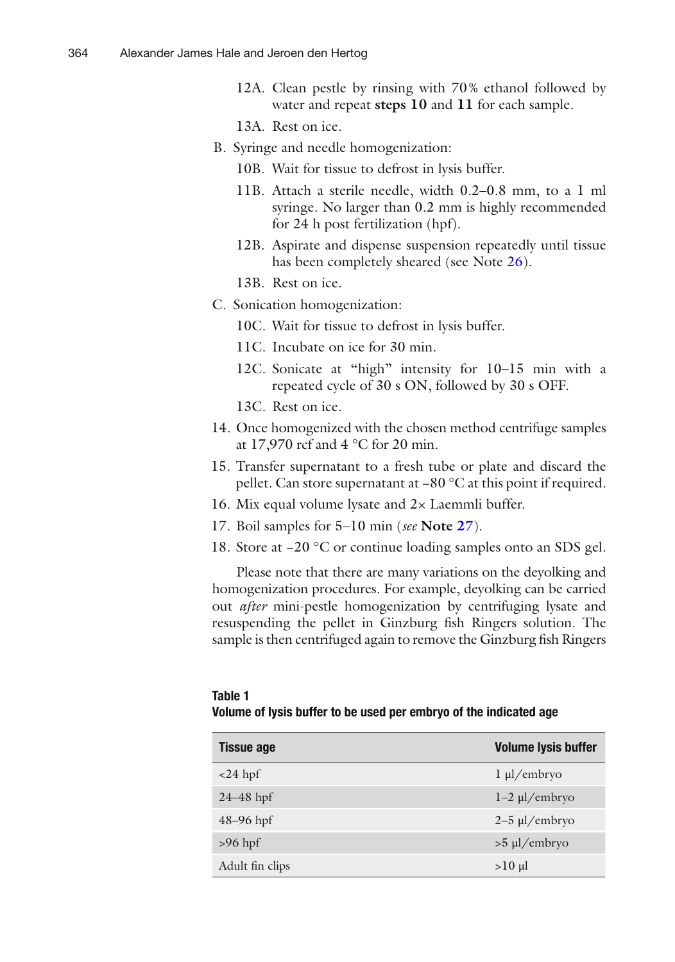- <span id="page-13-0"></span>12A. Clean pestle by rinsing with 70% ethanol followed by water and repeat **steps 10** and **11** for each sample.
- 13A. Rest on ice.
- B. Syringe and needle homogenization:
	- 10B. Wait for tissue to defrost in lysis buffer.
	- 11B. Attach a sterile needle, width 0.2–0.8 mm, to a 1 ml syringe. No larger than 0.2 mm is highly recommended for 24 h post fertilization (hpf).
	- 12B. Aspirate and dispense suspension repeatedly until tissue has been completely sheared (see Note [26](#page-15-0)).
	- 13B. Rest on ice.
- C. Sonication homogenization:
	- 10C. Wait for tissue to defrost in lysis buffer.
	- 11C. Incubate on ice for 30 min.
	- 12C. Sonicate at "high" intensity for 10–15 min with a repeated cycle of 30 s ON, followed by 30 s OFF.
	- 13C. Rest on ice.
- 14. Once homogenized with the chosen method centrifuge samples at 17,970 rcf and 4  $^{\circ}$ C for 20 min.
- 15. Transfer supernatant to a fresh tube or plate and discard the pellet. Can store supernatant at −80 °C at this point if required.
- 16. Mix equal volume lysate and  $2 \times$  Laemmli buffer.
- 17. Boil samples for 5–10 min ( *see* **Note [27](#page-15-0)**).
- 18. Store at −20 °C or continue loading samples onto an SDS gel.

Please note that there are many variations on the deyolking and homogenization procedures. For example, deyolking can be carried out *after* mini-pestle homogenization by centrifuging lysate and resuspending the pellet in Ginzburg fish Ringers solution. The sample is then centrifuged again to remove the Ginzburg fish Ringers

#### **Table 1 Volume of lysis buffer to be used per embryo of the indicated age**

| <b>Tissue age</b> | <b>Volume lysis buffer</b> |
|-------------------|----------------------------|
| $<$ 24 hpf        | $1 \mu$ /embryo            |
| $24-48$ hpf       | $1-2 \mu$ /embryo          |
| $48 - 96$ hpf     | $2-5 \mu$ /embryo          |
| $>96$ hpf         | $>5 \mu$ /embryo           |
| Adult fin clips   | $>10 \mu l$                |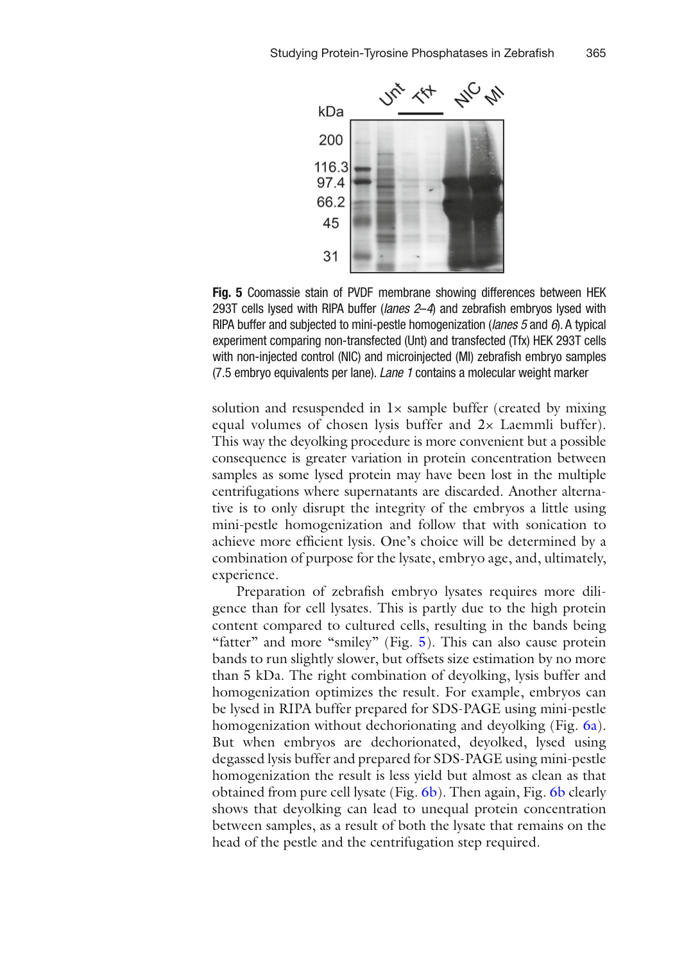<span id="page-14-0"></span>

 **Fig. 5** Coomassie stain of PVDF membrane showing differences between HEK 293T cells lysed with RIPA buffer (*lanes 2*–4) and zebrafish embryos lysed with RIPA buffer and subjected to mini-pestle homogenization ( *lanes 5* and *6* ). A typical experiment comparing non-transfected (Unt) and transfected (Tfx) HEK 293T cells with non-injected control (NIC) and microinjected (MI) zebrafish embryo samples (7.5 embryo equivalents per lane). *Lane 1* contains a molecular weight marker

solution and resuspended in  $1 \times$  sample buffer (created by mixing equal volumes of chosen lysis buffer and  $2\times$  Laemmli buffer). This way the deyolking procedure is more convenient but a possible consequence is greater variation in protein concentration between samples as some lysed protein may have been lost in the multiple centrifugations where supernatants are discarded. Another alternative is to only disrupt the integrity of the embryos a little using mini-pestle homogenization and follow that with sonication to achieve more efficient lysis. One's choice will be determined by a combination of purpose for the lysate, embryo age, and, ultimately, experience.

Preparation of zebrafish embryo lysates requires more diligence than for cell lysates. This is partly due to the high protein content compared to cultured cells, resulting in the bands being "fatter" and more "smiley" (Fig. 5). This can also cause protein bands to run slightly slower, but offsets size estimation by no more than 5 kDa. The right combination of deyolking, lysis buffer and homogenization optimizes the result. For example, embryos can be lysed in RIPA buffer prepared for SDS-PAGE using mini-pestle homogenization without dechorionating and deyolking (Fig. [6a\)](#page-15-0). But when embryos are dechorionated, deyolked, lysed using degassed lysis buffer and prepared for SDS-PAGE using mini- pestle homogenization the result is less yield but almost as clean as that obtained from pure cell lysate (Fig. [6b\)](#page-15-0). Then again, Fig. [6b](#page-15-0) clearly shows that deyolking can lead to unequal protein concentration between samples, as a result of both the lysate that remains on the head of the pestle and the centrifugation step required.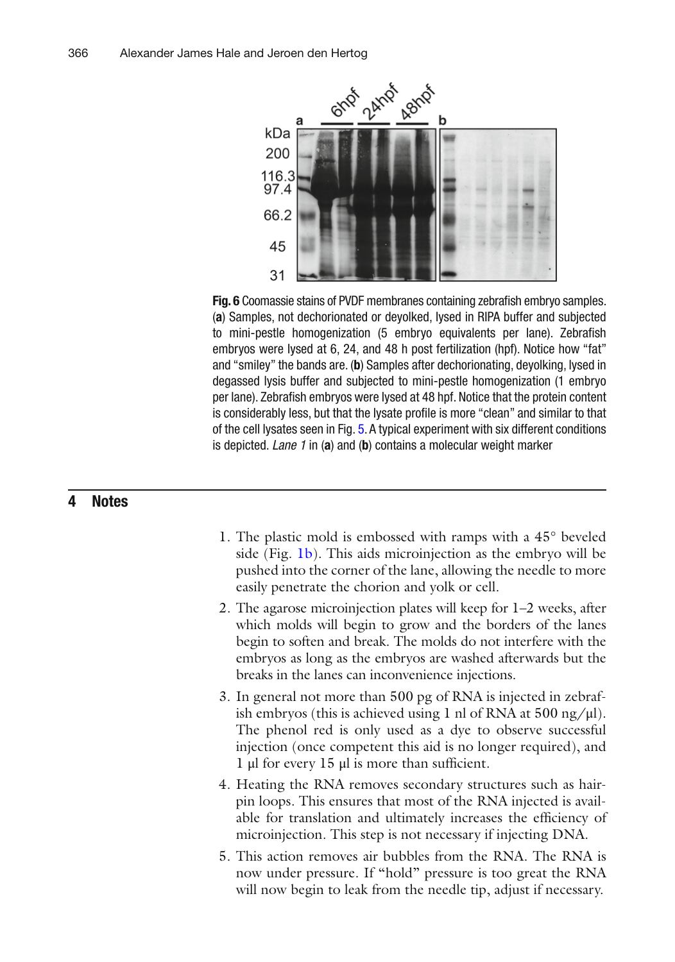<span id="page-15-0"></span>

**Fig. 6** Coomassie stains of PVDF membranes containing zebrafish embryo samples. (a) Samples, not dechorionated or deyolked, lysed in RIPA buffer and subjected to mini-pestle homogenization (5 embryo equivalents per lane). Zebrafish embryos were lysed at 6, 24, and 48 h post fertilization (hpf). Notice how "fat" and "smiley" the bands are. (b) Samples after dechorionating, deyolking, lysed in degassed lysis buffer and subjected to mini-pestle homogenization (1 embryo per lane). Zebrafish embryos were lysed at 48 hpf. Notice that the protein content is considerably less, but that the lysate profile is more "clean" and similar to that of the cell lysates seen in Fig. [5 .](#page-14-0) A typical experiment with six different conditions is depicted. *Lane 1* in (a) and (b) contains a molecular weight marker

#### **4 Notes**

- 1. The plastic mold is embossed with ramps with a 45° beveled side (Fig. [1b\)](#page-7-0). This aids microinjection as the embryo will be pushed into the corner of the lane, allowing the needle to more easily penetrate the chorion and yolk or cell.
- 2. The agarose microinjection plates will keep for 1–2 weeks, after which molds will begin to grow and the borders of the lanes begin to soften and break. The molds do not interfere with the embryos as long as the embryos are washed afterwards but the breaks in the lanes can inconvenience injections.
- 3. In general not more than 500 pg of RNA is injected in zebrafish embryos (this is achieved using 1 nl of RNA at 500 ng/ $\mu$ l). The phenol red is only used as a dye to observe successful injection (once competent this aid is no longer required), and  $1$  μl for every  $15$  μl is more than sufficient.
- 4. Heating the RNA removes secondary structures such as hairpin loops. This ensures that most of the RNA injected is available for translation and ultimately increases the efficiency of microinjection. This step is not necessary if injecting DNA.
- 5. This action removes air bubbles from the RNA. The RNA is now under pressure. If "hold" pressure is too great the RNA will now begin to leak from the needle tip, adjust if necessary.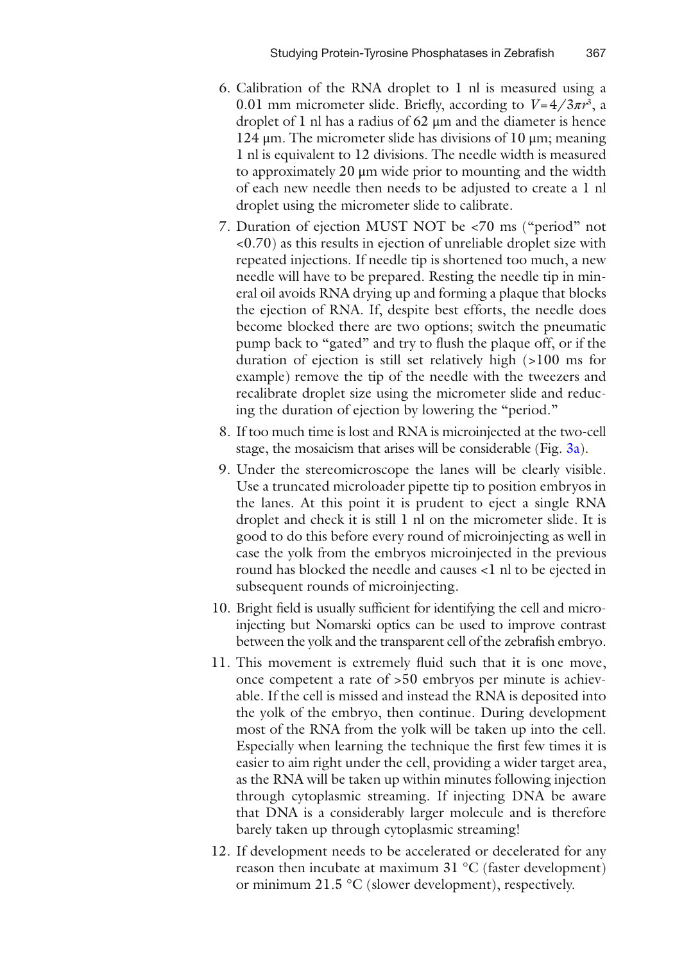- 6. Calibration of the RNA droplet to 1 nl is measured using a 0.01 mm micrometer slide. Briefly, according to  $V = 4/3\pi r^3$ , a droplet of 1 nl has a radius of 62 μm and the diameter is hence 124 μm. The micrometer slide has divisions of 10 μm; meaning 1 nl is equivalent to 12 divisions. The needle width is measured to approximately 20 μm wide prior to mounting and the width of each new needle then needs to be adjusted to create a 1 nl droplet using the micrometer slide to calibrate.
- 7. Duration of ejection MUST NOT be <70 ms ("period" not <0.70) as this results in ejection of unreliable droplet size with repeated injections. If needle tip is shortened too much, a new needle will have to be prepared. Resting the needle tip in mineral oil avoids RNA drying up and forming a plaque that blocks the ejection of RNA. If, despite best efforts, the needle does become blocked there are two options; switch the pneumatic pump back to "gated" and try to flush the plaque off, or if the duration of ejection is still set relatively high (>100 ms for example) remove the tip of the needle with the tweezers and recalibrate droplet size using the micrometer slide and reducing the duration of ejection by lowering the "period."
- 8. If too much time is lost and RNA is microinjected at the two- cell stage, the mosaicism that arises will be considerable (Fig. [3a\)](#page-10-0).
- 9. Under the stereomicroscope the lanes will be clearly visible. Use a truncated microloader pipette tip to position embryos in the lanes. At this point it is prudent to eject a single RNA droplet and check it is still 1 nl on the micrometer slide. It is good to do this before every round of microinjecting as well in case the yolk from the embryos microinjected in the previous round has blocked the needle and causes <1 nl to be ejected in subsequent rounds of microinjecting.
- 10. Bright field is usually sufficient for identifying the cell and microinjecting but Nomarski optics can be used to improve contrast between the yolk and the transparent cell of the zebrafish embryo.
- 11. This movement is extremely fluid such that it is one move, once competent a rate of >50 embryos per minute is achievable. If the cell is missed and instead the RNA is deposited into the yolk of the embryo, then continue. During development most of the RNA from the yolk will be taken up into the cell. Especially when learning the technique the first few times it is easier to aim right under the cell, providing a wider target area, as the RNA will be taken up within minutes following injection through cytoplasmic streaming. If injecting DNA be aware that DNA is a considerably larger molecule and is therefore barely taken up through cytoplasmic streaming!
- 12. If development needs to be accelerated or decelerated for any reason then incubate at maximum 31 °C (faster development) or minimum 21.5 °C (slower development), respectively.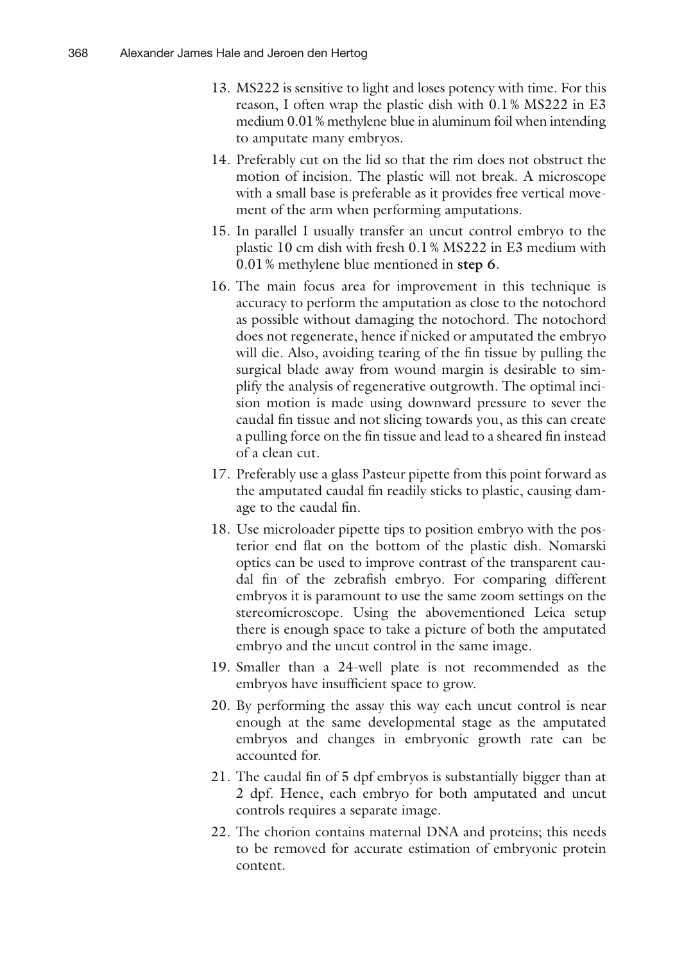- 13. MS222 is sensitive to light and loses potency with time. For this reason, I often wrap the plastic dish with 0.1 % MS222 in E3 medium 0.01 % methylene blue in aluminum foil when intending to amputate many embryos.
- 14. Preferably cut on the lid so that the rim does not obstruct the motion of incision. The plastic will not break. A microscope with a small base is preferable as it provides free vertical movement of the arm when performing amputations.
- 15. In parallel I usually transfer an uncut control embryo to the plastic 10 cm dish with fresh 0.1 % MS222 in E3 medium with 0.01 % methylene blue mentioned in **step 6**.
- 16. The main focus area for improvement in this technique is accuracy to perform the amputation as close to the notochord as possible without damaging the notochord. The notochord does not regenerate, hence if nicked or amputated the embryo will die. Also, avoiding tearing of the fin tissue by pulling the surgical blade away from wound margin is desirable to simplify the analysis of regenerative outgrowth. The optimal incision motion is made using downward pressure to sever the caudal fin tissue and not slicing towards you, as this can create a pulling force on the fin tissue and lead to a sheared fin instead of a clean cut.
- 17. Preferably use a glass Pasteur pipette from this point forward as the amputated caudal fin readily sticks to plastic, causing damage to the caudal fin.
- 18. Use microloader pipette tips to position embryo with the posterior end flat on the bottom of the plastic dish. Nomarski optics can be used to improve contrast of the transparent caudal fin of the zebrafish embryo. For comparing different embryos it is paramount to use the same zoom settings on the stereomicroscope. Using the abovementioned Leica setup there is enough space to take a picture of both the amputated embryo and the uncut control in the same image.
- 19. Smaller than a 24-well plate is not recommended as the embryos have insufficient space to grow.
- 20. By performing the assay this way each uncut control is near enough at the same developmental stage as the amputated embryos and changes in embryonic growth rate can be accounted for.
- 21. The caudal fin of 5 dpf embryos is substantially bigger than at 2 dpf. Hence, each embryo for both amputated and uncut controls requires a separate image.
- 22. The chorion contains maternal DNA and proteins; this needs to be removed for accurate estimation of embryonic protein content.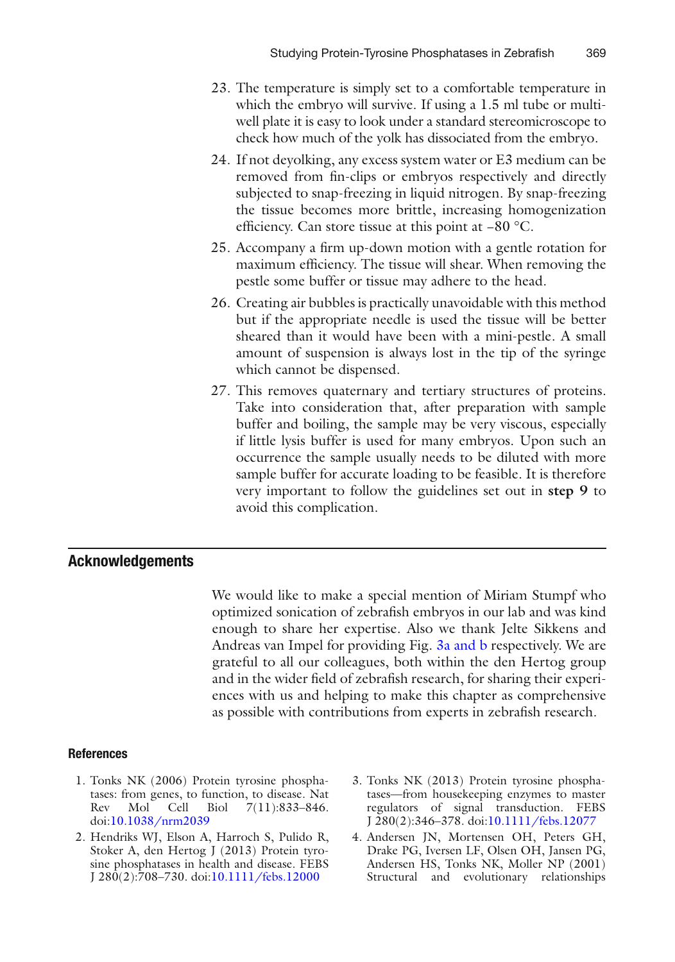- <span id="page-18-0"></span> 23. The temperature is simply set to a comfortable temperature in which the embryo will survive. If using a 1.5 ml tube or multiwell plate it is easy to look under a standard stereomicroscope to check how much of the yolk has dissociated from the embryo.
- 24. If not deyolking, any excess system water or E3 medium can be removed from fin-clips or embryos respectively and directly subjected to snap-freezing in liquid nitrogen. By snap-freezing the tissue becomes more brittle, increasing homogenization efficiency. Can store tissue at this point at −80 °C.
- 25. Accompany a firm up-down motion with a gentle rotation for maximum efficiency. The tissue will shear. When removing the pestle some buffer or tissue may adhere to the head.
- 26. Creating air bubbles is practically unavoidable with this method but if the appropriate needle is used the tissue will be better sheared than it would have been with a mini-pestle. A small amount of suspension is always lost in the tip of the syringe which cannot be dispensed.
- 27. This removes quaternary and tertiary structures of proteins. Take into consideration that, after preparation with sample buffer and boiling, the sample may be very viscous, especially if little lysis buffer is used for many embryos. Upon such an occurrence the sample usually needs to be diluted with more sample buffer for accurate loading to be feasible. It is therefore very important to follow the guidelines set out in **step 9** to avoid this complication.

#### **Acknowledgements**

We would like to make a special mention of Miriam Stumpf who optimized sonication of zebrafish embryos in our lab and was kind enough to share her expertise. Also we thank Jelte Sikkens and Andreas van Impel for providing Fig. [3a and b](#page-10-0) respectively. We are grateful to all our colleagues, both within the den Hertog group and in the wider field of zebrafish research, for sharing their experiences with us and helping to make this chapter as comprehensive as possible with contributions from experts in zebrafish research.

#### **References**

- 1. Tonks NK (2006) Protein tyrosine phosphatases: from genes, to function, to disease. Nat Rev Mol Cell Biol 7(11):833–846. doi[: 10.1038/nrm2039](http://dx.doi.org/10.1038/nrm2039)
- 2. Hendriks WJ, Elson A, Harroch S, Pulido R, Stoker A, den Hertog J (2013) Protein tyrosine phosphatases in health and disease. FEBS  $J 280(2):708-730$ . doi:10.1111/febs.12000
- 3. Tonks NK (2013) Protein tyrosine phosphatases—from housekeeping enzymes to master regulators of signal transduction. FEBS J 280(2):346–378. doi: [10.1111/febs.12077](http://dx.doi.org/10.1111/febs.12077)
- 4. Andersen JN, Mortensen OH, Peters GH, Drake PG, Iversen LF, Olsen OH, Jansen PG, Andersen HS, Tonks NK, Moller NP (2001) Structural and evolutionary relationships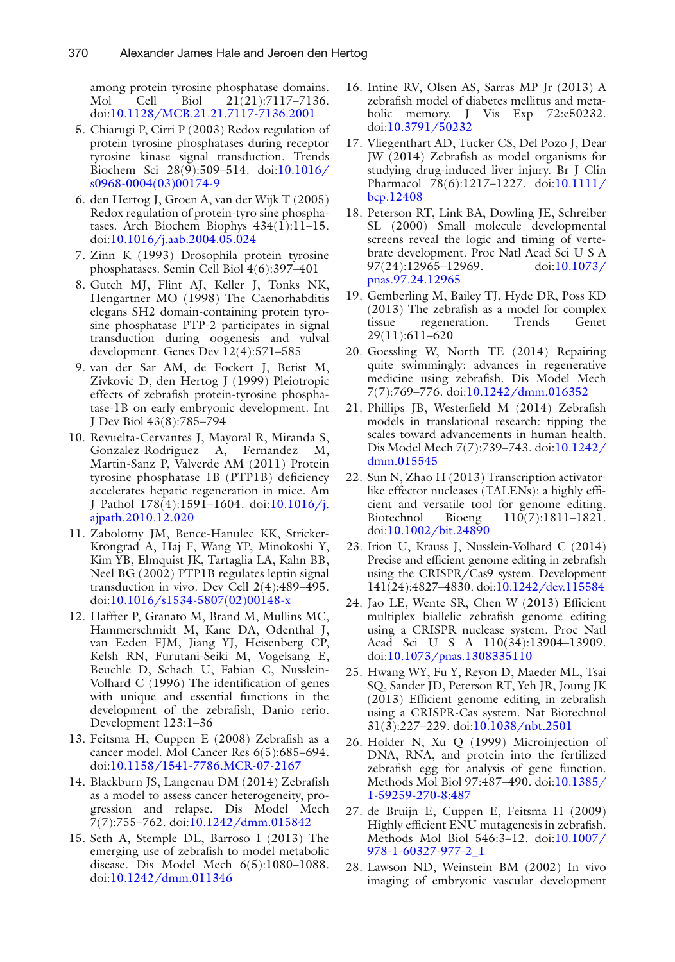<span id="page-19-0"></span>among protein tyrosine phosphatase domains.<br>Mol Cell Biol 21(21):7117-7136. Mol Cell Biol 21(21):7117–7136. doi[: 10.1128/MCB.21.21.7117-7136.2001](http://dx.doi.org/10.1128/MCB.21.21.7117-7136.2001)

- 5. Chiarugi P, Cirri P (2003) Redox regulation of protein tyrosine phosphatases during receptor tyrosine kinase signal transduction. Trends Biochem Sci  $28(9):509-514.$  doi:10.1016/ [s0968-0004\(03\)00174-9](http://dx.doi.org/10.1016/s0968-0004(03)00174-9)
- 6. den Hertog J, Groen A, van der Wijk T (2005) Redox regulation of protein-tyro sine phosphatases. Arch Biochem Biophys 434(1):11–15. doi[: 10.1016/j.aab.2004.05.024](http://dx.doi.org/10.1016/j.aab.2004.05.024)
- 7. Zinn K (1993) Drosophila protein tyrosine phosphatases. Semin Cell Biol 4(6):397–401
- 8. Gutch MJ, Flint AJ, Keller J, Tonks NK, Hengartner MO (1998) The Caenorhabditis elegans SH2 domain-containing protein tyrosine phosphatase PTP-2 participates in signal transduction during oogenesis and vulval development. Genes Dev 12(4):571–585
- 9. van der Sar AM, de Fockert J, Betist M, Zivkovic D, den Hertog J (1999) Pleiotropic effects of zebrafish protein-tyrosine phosphatase- 1B on early embryonic development. Int J Dev Biol 43(8):785–794
- 10. Revuelta-Cervantes J, Mayoral R, Miranda S, Gonzalez-Rodriguez A, Fernandez M, Martin- Sanz P, Valverde AM (2011) Protein tyrosine phosphatase 1B (PTP1B) deficiency accelerates hepatic regeneration in mice. Am J Pathol 178(4):1591–1604. doi[: 10.1016/j.](http://dx.doi.org/10.1016/j.ajpath.2010.12.020) [ajpath.2010.12.020](http://dx.doi.org/10.1016/j.ajpath.2010.12.020)
- 11. Zabolotny JM, Bence-Hanulec KK, Stricker-Krongrad A, Haj F, Wang YP, Minokoshi Y, Kim YB, Elmquist JK, Tartaglia LA, Kahn BB, Neel BG (2002) PTP1B regulates leptin signal transduction in vivo. Dev Cell 2(4):489–495. doi[: 10.1016/s1534-5807\(02\)00148-x](http://dx.doi.org/10.1016/s1534-5807(02)00148-x)
- 12. Haffter P, Granato M, Brand M, Mullins MC, Hammerschmidt M, Kane DA, Odenthal J, van Eeden FJM, Jiang YJ, Heisenberg CP, Kelsh RN, Furutani-Seiki M, Vogelsang E, Beuchle D, Schach U, Fabian C, Nusslein-Volhard C  $(1996)$  The identification of genes with unique and essential functions in the development of the zebrafish, Danio rerio. Development 123:1–36
- 13. Feitsma H, Cuppen E (2008) Zebrafish as a cancer model. Mol Cancer Res 6(5):685–694. doi[: 10.1158/1541-7786.MCR-07-2167](http://dx.doi.org/10.1158/1541-7786.MCR-07-2167)
- 14. Blackburn JS, Langenau DM (2014) Zebrafish as a model to assess cancer heterogeneity, progression and relapse. Dis Model Mech 7(7):755–762. doi: [10.1242/dmm.015842](http://dx.doi.org/10.1242/dmm.015842)
- 15. Seth A, Stemple DL, Barroso I (2013) The emerging use of zebrafish to model metabolic disease. Dis Model Mech 6(5):1080–1088. doi[: 10.1242/dmm.011346](http://dx.doi.org/10.1242/dmm.011346)
- 16. Intine RV, Olsen AS, Sarras MP Jr (2013) A zebrafish model of diabetes mellitus and metabolic memory. J Vis Exp 72:e50232. doi: [10.3791/50232](http://dx.doi.org/10.3791/50232)
- 17. Vliegenthart AD, Tucker CS, Del Pozo J, Dear JW  $(2014)$  Zebrafish as model organisms for studying drug-induced liver injury. Br J Clin Pharmacol 78(6):1217-1227. doi:10.1111/ [bcp.12408](http://dx.doi.org/10.1111/bcp.12408)
- 18. Peterson RT, Link BA, Dowling JE, Schreiber SL (2000) Small molecule developmental screens reveal the logic and timing of vertebrate development. Proc Natl Acad Sci U S A 97(24):12965–12969. doi:10.1073/ [pnas.97.24.12965](http://dx.doi.org/10.1073/pnas.97.24.12965)
- 19. Gemberling M, Bailey TJ, Hyde DR, Poss KD  $(2013)$  The zebrafish as a model for complex tissue regeneration. Trends Genet 29(11):611–620
- 20. Goessling W, North TE (2014) Repairing quite swimmingly: advances in regenerative medicine using zebrafish. Dis Model Mech 7(7):769–776. doi: [10.1242/dmm.016352](http://dx.doi.org/10.1242/dmm.016352)
- 21. Phillips JB, Westerfield M (2014) Zebrafish models in translational research: tipping the scales toward advancements in human health. Dis Model Mech 7(7):739–743. doi[: 10.1242/](http://dx.doi.org/10.1242/dmm.015545) [dmm.015545](http://dx.doi.org/10.1242/dmm.015545)
- 22. Sun N, Zhao H (2013) Transcription activatorlike effector nucleases (TALENs): a highly efficient and versatile tool for genome editing. Biotechnol Bioeng 110(7):1811–1821. doi: [10.1002/bit.24890](http://dx.doi.org/10.1002/bit.24890)
- 23. Irion U, Krauss J, Nusslein-Volhard C (2014) Precise and efficient genome editing in zebrafish using the CRISPR/Cas9 system. Development 141(24):4827–4830. doi[: 10.1242/dev.115584](http://dx.doi.org/10.1242/dev.115584)
- 24. Jao LE, Wente SR, Chen W (2013) Efficient multiplex biallelic zebrafish genome editing using a CRISPR nuclease system. Proc Natl Acad Sci U S A 110(34):13904–13909. doi: [10.1073/pnas.1308335110](http://dx.doi.org/10.1073/pnas.1308335110)
- 25. Hwang WY, Fu Y, Reyon D, Maeder ML, Tsai SQ, Sander JD, Peterson RT, Yeh JR, Joung JK  $(2013)$  Efficient genome editing in zebrafish using a CRISPR-Cas system. Nat Biotechnol 31(3):227–229. doi: [10.1038/nbt.2501](http://dx.doi.org/10.1038/nbt.2501)
- 26. Holder N, Xu Q (1999) Microinjection of DNA, RNA, and protein into the fertilized zebrafish egg for analysis of gene function. Methods Mol Biol 97:487–490. doi[: 10.1385/](http://dx.doi.org/10.1385/1-59259-270-8:487) [1-59259-270-8:487](http://dx.doi.org/10.1385/1-59259-270-8:487)
- 27. de Bruijn E, Cuppen E, Feitsma H (2009) Highly efficient ENU mutagenesis in zebrafish. Methods Mol Biol 546:3-12. doi:10.1007/ [978-1-60327-977-2\\_1](http://dx.doi.org/10.1007/978-1-60327-977-2_1)
- 28. Lawson ND, Weinstein BM (2002) In vivo imaging of embryonic vascular development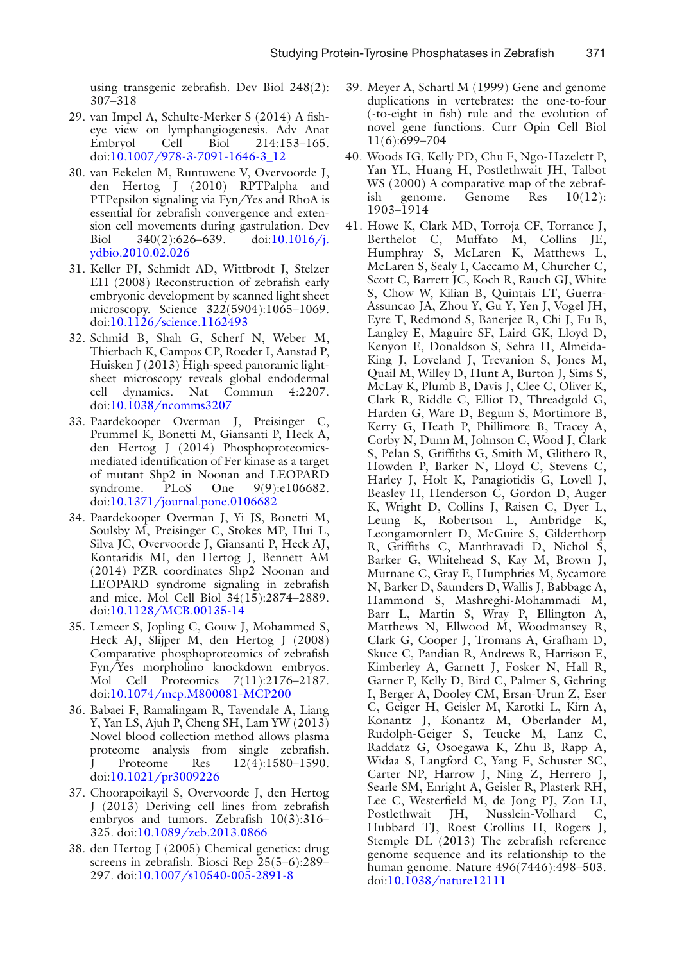<span id="page-20-0"></span>using transgenic zebrafish. Dev Biol  $248(2)$ : 307–318

- 29. van Impel A, Schulte-Merker S (2014) A fisheye view on lymphangiogenesis. Adv Anat Embryol Cell Biol 214:153–165. doi[: 10.1007/978-3-7091-1646-3\\_12](http://dx.doi.org/10.1007/978-3-7091-1646-3_12)
- 30. van Eekelen M, Runtuwene V, Overvoorde J, den Hertog J (2010) RPTPalpha and PTPepsilon signaling via Fyn/Yes and RhoA is essential for zebrafish convergence and extension cell movements during gastrulation. Dev Biol  $340(2):626-639$ . doi: $10.1016/i$ . [ydbio.2010.02.026](http://dx.doi.org/10.1016/j.ydbio.2010.02.026)
- 31. Keller PJ, Schmidt AD, Wittbrodt J, Stelzer EH (2008) Reconstruction of zebrafish early embryonic development by scanned light sheet microscopy. Science 322(5904):1065–1069. doi[: 10.1126/science.1162493](http://dx.doi.org/10.1126/science.1162493)
- 32. Schmid B, Shah G, Scherf N, Weber M, Thierbach K, Campos CP, Roeder I, Aanstad P, Huisken J (2013) High-speed panoramic lightsheet microscopy reveals global endodermal cell dynamics. Nat Commun 4:2207. doi[: 10.1038/ncomms3207](http://dx.doi.org/10.1038/ncomms3207)
- 33. Paardekooper Overman J, Preisinger C, Prummel K, Bonetti M, Giansanti P, Heck A, den Hertog J (2014) Phosphoproteomicsmediated identification of Fer kinase as a target of mutant Shp2 in Noonan and LEOPARD syndrome. PLoS One 9(9):e106682. doi[: 10.1371/journal.pone.0106682](http://dx.doi.org/10.1371/journal.pone.0106682)
- 34. Paardekooper Overman J, Yi JS, Bonetti M, Soulsby M, Preisinger C, Stokes MP, Hui L, Silva JC, Overvoorde J, Giansanti P, Heck AJ, Kontaridis MI, den Hertog J, Bennett AM (2014) PZR coordinates Shp2 Noonan and LEOPARD syndrome signaling in zebrafish and mice. Mol Cell Biol 34(15):2874–2889. doi[: 10.1128/MCB.00135-14](http://dx.doi.org/10.1128/MCB.00135-14)
- 35. Lemeer S, Jopling C, Gouw J, Mohammed S, Heck AJ, Slijper M, den Hertog J (2008) Comparative phosphoproteomics of zebrafish Fyn/Yes morpholino knockdown embryos. Mol Cell Proteomics 7(11):2176–2187. doi[: 10.1074/mcp.M800081-MCP200](http://dx.doi.org/10.1074/mcp.M800081-MCP200)
- 36. Babaei F, Ramalingam R, Tavendale A, Liang Y, Yan LS, Ajuh P, Cheng SH, Lam YW (2013) Novel blood collection method allows plasma proteome analysis from single zebrafish. Proteome Res 12(4):1580–1590. doi[: 10.1021/pr3009226](http://dx.doi.org/10.1021/pr3009226)
- 37. Choorapoikayil S, Overvoorde J, den Hertog J (2013) Deriving cell lines from zebrafish embryos and tumors. Zebrafish  $10(3):316-$ 325. doi: [10.1089/zeb.2013.0866](http://dx.doi.org/10.1089/zeb.2013.0866)
- 38. den Hertog J (2005) Chemical genetics: drug screens in zebrafish. Biosci Rep  $25(5-6)$ :289-297. doi: [10.1007/s10540-005-2891-8](http://dx.doi.org/10.1007/s10540-005-2891-8)
- 39. Meyer A, Schartl M (1999) Gene and genome duplications in vertebrates: the one-to-four (-to-eight in fish) rule and the evolution of novel gene functions. Curr Opin Cell Biol 11(6):699–704
- 40. Woods IG, Kelly PD, Chu F, Ngo-Hazelett P, Yan YL, Huang H, Postlethwait JH, Talbot WS (2000) A comparative map of the zebraf-<br>ish genome. Genome Res  $10(12)$ : ish genome. Genome Res 10(12): 1903–1914
- 41. Howe K, Clark MD, Torroja CF, Torrance J, Berthelot C, Muffato M, Collins JE, Humphray S, McLaren K, Matthews L, McLaren S, Sealy I, Caccamo M, Churcher C, Scott C, Barrett JC, Koch R, Rauch GJ, White S, Chow W, Kilian B, Quintais LT, Guerra-Assuncao JA, Zhou Y, Gu Y, Yen J, Vogel JH, Eyre T, Redmond S, Banerjee R, Chi J, Fu B, Langley E, Maguire SF, Laird GK, Lloyd D, Kenyon E, Donaldson S, Sehra H, Almeida-King J, Loveland J, Trevanion S, Jones M, Quail M, Willey D, Hunt A, Burton J, Sims S, McLay K, Plumb B, Davis J, Clee C, Oliver K, Clark R, Riddle C, Elliot D, Threadgold G, Harden G, Ware D, Begum S, Mortimore B, Kerry G, Heath P, Phillimore B, Tracey A, Corby N, Dunn M, Johnson C, Wood J, Clark S, Pelan S, Griffiths G, Smith M, Glithero R, Howden P, Barker N, Lloyd C, Stevens C, Harley J, Holt K, Panagiotidis G, Lovell J, Beasley H, Henderson C, Gordon D, Auger K, Wright D, Collins J, Raisen C, Dyer L, Leung K, Robertson L, Ambridge K, Leongamornlert D, McGuire S, Gilderthorp R, Griffiths C, Manthravadi D, Nichol S, Barker G, Whitehead S, Kay M, Brown J, Murnane C, Gray E, Humphries M, Sycamore N, Barker D, Saunders D, Wallis J, Babbage A, Hammond S, Mashreghi-Mohammadi M, Barr L, Martin S, Wray P, Ellington A, Matthews N, Ellwood M, Woodmansey R, Clark G, Cooper J, Tromans A, Grafham D, Skuce C, Pandian R, Andrews R, Harrison E, Kimberley A, Garnett J, Fosker N, Hall R, Garner P, Kelly D, Bird C, Palmer S, Gehring I, Berger A, Dooley CM, Ersan-Urun Z, Eser C, Geiger H, Geisler M, Karotki L, Kirn A, Konantz J, Konantz M, Oberlander M, Rudolph-Geiger S, Teucke M, Lanz C, Raddatz G, Osoegawa K, Zhu B, Rapp A, Widaa S, Langford C, Yang F, Schuster SC, Carter NP, Harrow J, Ning Z, Herrero J, Searle SM, Enright A, Geisler R, Plasterk RH, Lee C, Westerfield M, de Jong PJ, Zon LI, Postlethwait JH, Nusslein-Volhard C, Hubbard TJ, Roest Crollius H, Rogers J, Stemple DL (2013) The zebrafish reference genome sequence and its relationship to the human genome. Nature 496(7446):498–503. doi: [10.1038/nature12111](http://dx.doi.org/10.1038/nature12111)